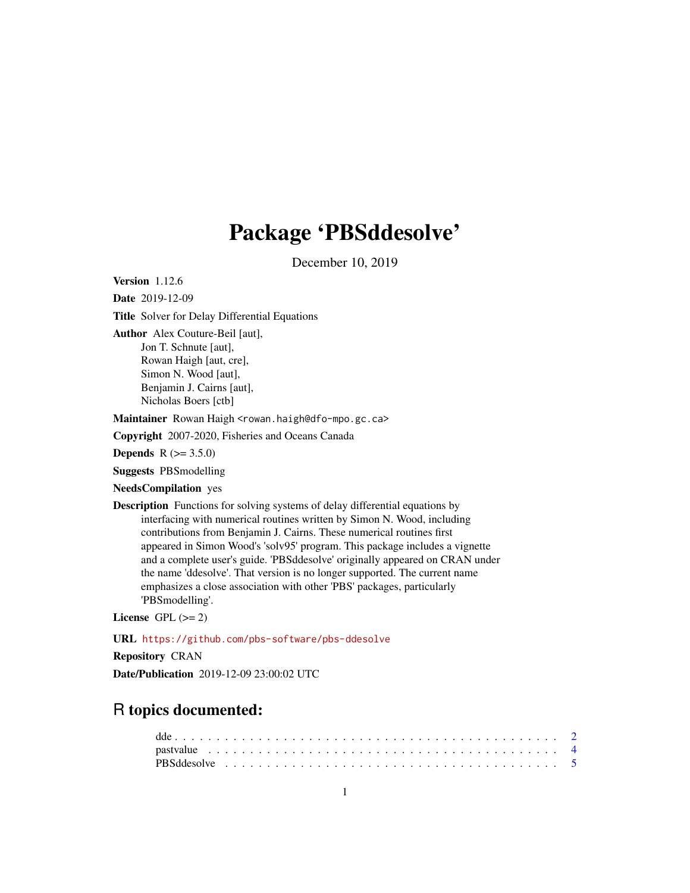## Package 'PBSddesolve'

December 10, 2019

Version 1.12.6

Date 2019-12-09

Title Solver for Delay Differential Equations

Author Alex Couture-Beil [aut],

Jon T. Schnute [aut], Rowan Haigh [aut, cre], Simon N. Wood [aut], Benjamin J. Cairns [aut], Nicholas Boers [ctb]

Maintainer Rowan Haigh <rowan.haigh@dfo-mpo.gc.ca>

Copyright 2007-2020, Fisheries and Oceans Canada

**Depends** R  $(>= 3.5.0)$ 

Suggests PBSmodelling

NeedsCompilation yes

Description Functions for solving systems of delay differential equations by interfacing with numerical routines written by Simon N. Wood, including contributions from Benjamin J. Cairns. These numerical routines first appeared in Simon Wood's 'solv95' program. This package includes a vignette and a complete user's guide. 'PBSddesolve' originally appeared on CRAN under the name 'ddesolve'. That version is no longer supported. The current name emphasizes a close association with other 'PBS' packages, particularly 'PBSmodelling'.

License GPL  $(>= 2)$ 

URL <https://github.com/pbs-software/pbs-ddesolve>

Repository CRAN

Date/Publication 2019-12-09 23:00:02 UTC

### R topics documented: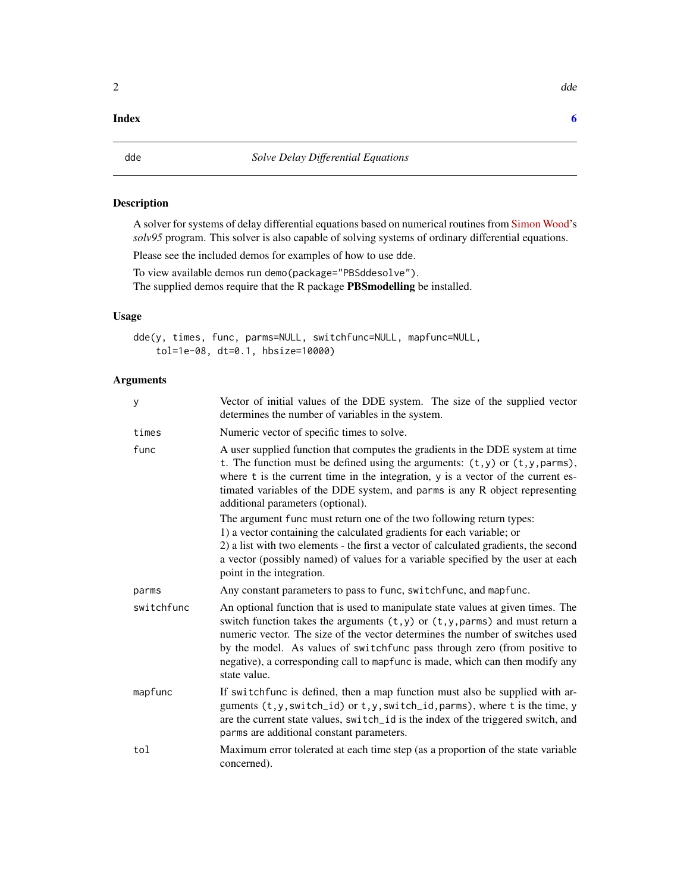#### <span id="page-1-0"></span>**Index** [6](#page-5-0) **6**

<span id="page-1-1"></span>

#### Description

A solver for systems of delay differential equations based on numerical routines from [Simon Wood'](https://people.maths.bris.ac.uk/~sw15190/)s *solv95* program. This solver is also capable of solving systems of ordinary differential equations.

Please see the included demos for examples of how to use dde.

To view available demos run demo(package="PBSddesolve"). The supplied demos require that the R package PBSmodelling be installed.

#### Usage

dde(y, times, func, parms=NULL, switchfunc=NULL, mapfunc=NULL, tol=1e-08, dt=0.1, hbsize=10000)

#### Arguments

| y          | Vector of initial values of the DDE system. The size of the supplied vector<br>determines the number of variables in the system.                                                                                                                                                                                                                                                                                                             |
|------------|----------------------------------------------------------------------------------------------------------------------------------------------------------------------------------------------------------------------------------------------------------------------------------------------------------------------------------------------------------------------------------------------------------------------------------------------|
| times      | Numeric vector of specific times to solve.                                                                                                                                                                                                                                                                                                                                                                                                   |
| func       | A user supplied function that computes the gradients in the DDE system at time<br>t. The function must be defined using the arguments: $(t, y)$ or $(t, y, \text{params})$ ,<br>where t is the current time in the integration, y is a vector of the current es-<br>timated variables of the DDE system, and parms is any R object representing<br>additional parameters (optional).                                                         |
|            | The argument func must return one of the two following return types:<br>1) a vector containing the calculated gradients for each variable; or<br>2) a list with two elements - the first a vector of calculated gradients, the second<br>a vector (possibly named) of values for a variable specified by the user at each<br>point in the integration.                                                                                       |
| parms      | Any constant parameters to pass to func, switchfunc, and mapfunc.                                                                                                                                                                                                                                                                                                                                                                            |
| switchfunc | An optional function that is used to manipulate state values at given times. The<br>switch function takes the arguments $(t, y)$ or $(t, y, \text{params})$ and must return a<br>numeric vector. The size of the vector determines the number of switches used<br>by the model. As values of switchfunc pass through zero (from positive to<br>negative), a corresponding call to mapfunc is made, which can then modify any<br>state value. |
| mapfunc    | If switchfunc is defined, then a map function must also be supplied with ar-<br>guments (t, y, switch_id) or t, y, switch_id, parms), where t is the time, y<br>are the current state values, switch_id is the index of the triggered switch, and<br>parms are additional constant parameters.                                                                                                                                               |
| tol        | Maximum error tolerated at each time step (as a proportion of the state variable<br>concerned).                                                                                                                                                                                                                                                                                                                                              |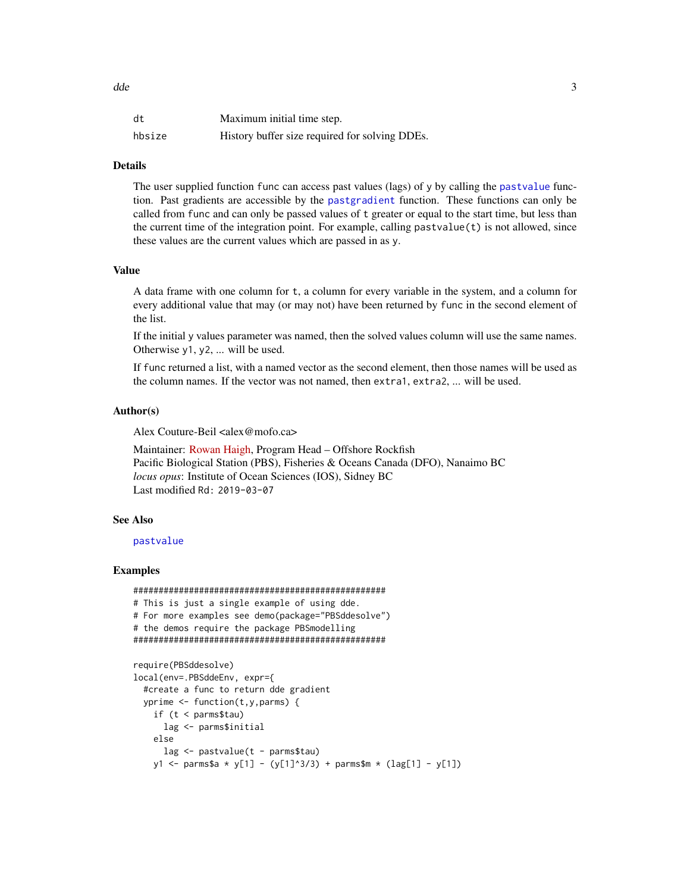<span id="page-2-0"></span>dde 3

| dt     | Maximum initial time step.                     |
|--------|------------------------------------------------|
| hbsize | History buffer size required for solving DDEs. |

#### Details

The user supplied function func can access past values (lags) of y by calling the [pastvalue](#page-3-1) function. Past gradients are accessible by the [pastgradient](#page-3-2) function. These functions can only be called from func and can only be passed values of t greater or equal to the start time, but less than the current time of the integration point. For example, calling pastvalue $(t)$  is not allowed, since these values are the current values which are passed in as y.

#### Value

A data frame with one column for t, a column for every variable in the system, and a column for every additional value that may (or may not) have been returned by func in the second element of the list.

If the initial y values parameter was named, then the solved values column will use the same names. Otherwise y1, y2, ... will be used.

If func returned a list, with a named vector as the second element, then those names will be used as the column names. If the vector was not named, then extra1, extra2, ... will be used.

#### Author(s)

Alex Couture-Beil <alex@mofo.ca>

Maintainer: [Rowan Haigh,](mailto:rowan.haigh@dfo-mpo.gc.ca) Program Head – Offshore Rockfish Pacific Biological Station (PBS), Fisheries & Oceans Canada (DFO), Nanaimo BC *locus opus*: Institute of Ocean Sciences (IOS), Sidney BC Last modified Rd: 2019-03-07

#### See Also

#### [pastvalue](#page-3-1)

#### Examples

```
##################################################
# This is just a single example of using dde.
# For more examples see demo(package="PBSddesolve")
# the demos require the package PBSmodelling
##################################################
```

```
require(PBSddesolve)
local(env=.PBSddeEnv, expr={
 #create a func to return dde gradient
 yprime \leq function(t,y,parms) {
    if (t < parms$tau)
      lag <- parms$initial
   else
      lag <- pastvalue(t - parms$tau)
   y1 \le parms$a * y[1] - (y[1]^3/3) + parms$m * (lag[1] - y[1])
```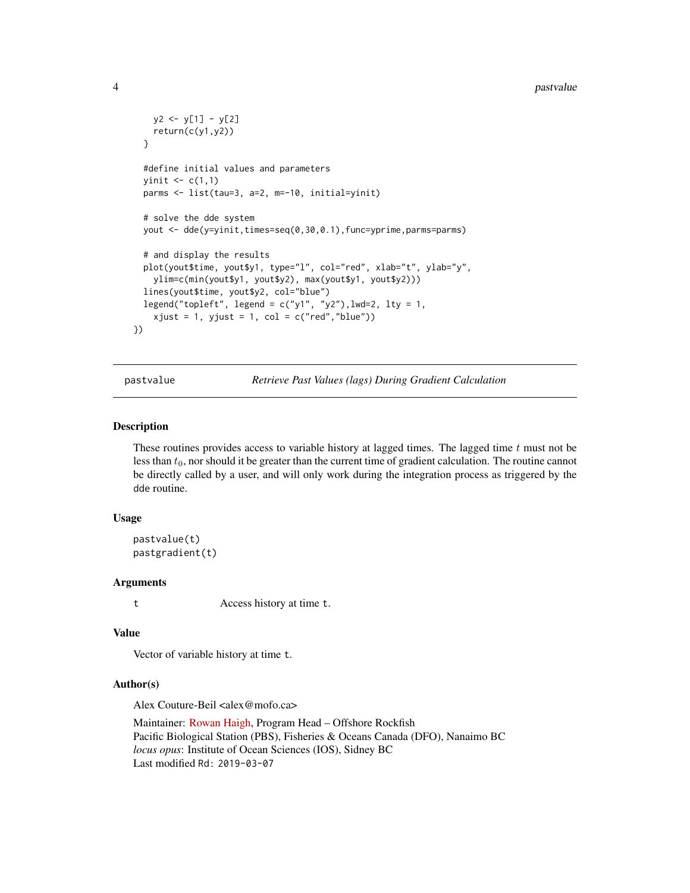```
y2 \leftarrow y[1] - y[2]return(c(y1,y2))
 }
 #define initial values and parameters
 yinit \leq c(1,1)parms <- list(tau=3, a=2, m=-10, initial=yinit)
 # solve the dde system
 yout <- dde(y=yinit,times=seq(0,30,0.1),func=yprime,parms=parms)
 # and display the results
 plot(yout$time, yout$y1, type="l", col="red", xlab="t", ylab="y",
    ylim=c(min(yout$y1, yout$y2), max(yout$y1, yout$y2)))
 lines(yout$time, yout$y2, col="blue")
 legend("topleft", legend = c("y1", "y2"), lwd=2, lty = 1,
    xjust = 1, yjust = 1, col = c("red", "blue")})
```
pastvalue *Retrieve Past Values (lags) During Gradient Calculation*

#### <span id="page-3-2"></span>Description

These routines provides access to variable history at lagged times. The lagged time  $t$  must not be less than  $t_0$ , nor should it be greater than the current time of gradient calculation. The routine cannot be directly called by a user, and will only work during the integration process as triggered by the dde routine.

#### Usage

```
pastvalue(t)
pastgradient(t)
```
#### Arguments

t Access history at time t.

#### Value

Vector of variable history at time t.

#### Author(s)

Alex Couture-Beil <alex@mofo.ca>

Maintainer: [Rowan Haigh,](mailto:rowan.haigh@dfo-mpo.gc.ca) Program Head – Offshore Rockfish Pacific Biological Station (PBS), Fisheries & Oceans Canada (DFO), Nanaimo BC *locus opus*: Institute of Ocean Sciences (IOS), Sidney BC Last modified Rd: 2019-03-07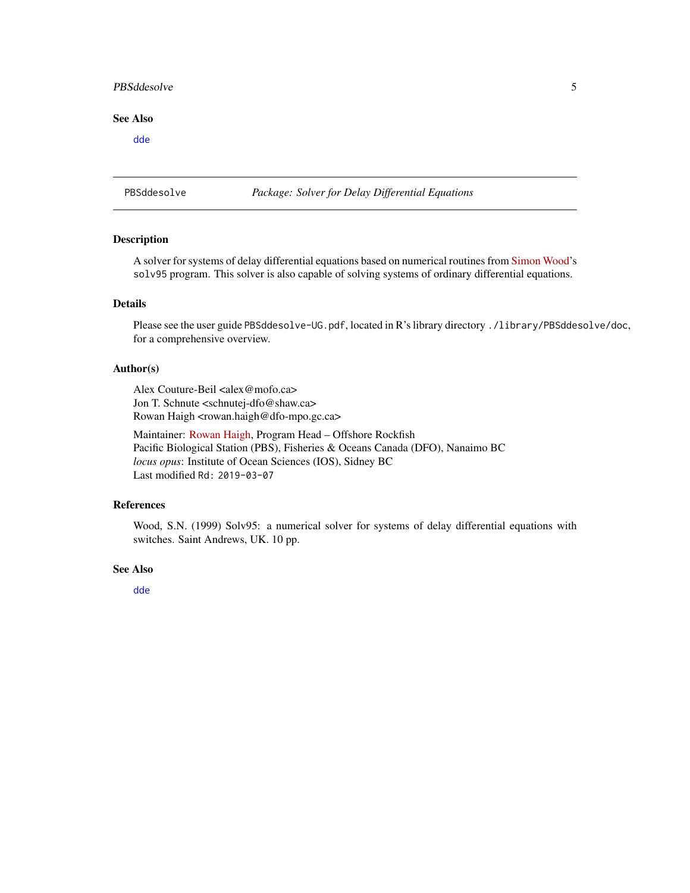#### <span id="page-4-0"></span>PBSddesolve 5

#### See Also

[dde](#page-1-1)

PBSddesolve *Package: Solver for Delay Differential Equations*

#### Description

A solver for systems of delay differential equations based on numerical routines from [Simon Wood'](https://people.maths.bris.ac.uk/~sw15190/)s solv95 program. This solver is also capable of solving systems of ordinary differential equations.

#### Details

Please see the user guide PBSddesolve-UG.pdf, located in R's library directory ./library/PBSddesolve/doc, for a comprehensive overview.

#### Author(s)

Alex Couture-Beil <alex@mofo.ca> Jon T. Schnute <schnutej-dfo@shaw.ca> Rowan Haigh <rowan.haigh@dfo-mpo.gc.ca>

Maintainer: [Rowan Haigh,](mailto:rowan.haigh@dfo-mpo.gc.ca) Program Head – Offshore Rockfish Pacific Biological Station (PBS), Fisheries & Oceans Canada (DFO), Nanaimo BC *locus opus*: Institute of Ocean Sciences (IOS), Sidney BC Last modified Rd: 2019-03-07

#### References

Wood, S.N. (1999) Solv95: a numerical solver for systems of delay differential equations with switches. Saint Andrews, UK. 10 pp.

#### See Also

[dde](#page-1-1)